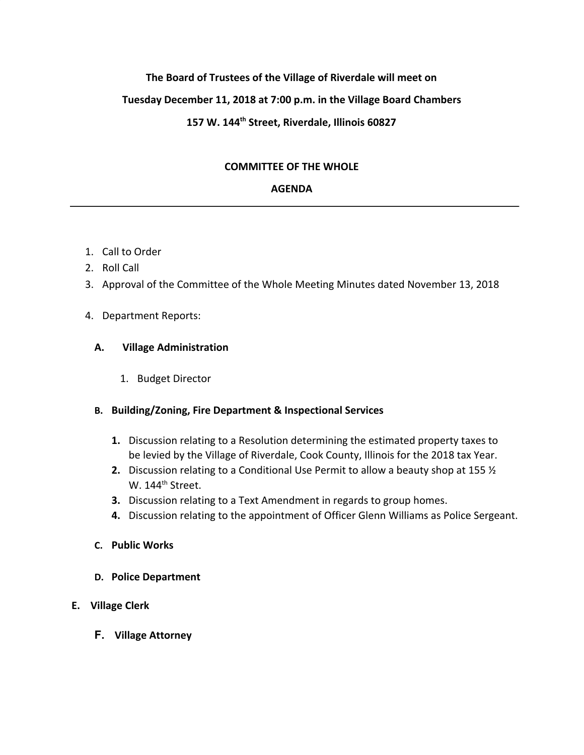# **The Board of Trustees of the Village of Riverdale will meet on**

# **Tuesday December 11, 2018 at 7:00 p.m. in the Village Board Chambers**

# **157 W. 144th Street, Riverdale, Illinois 60827**

### **COMMITTEE OF THE WHOLE**

### **AGENDA**

- 1. Call to Order
- 2. Roll Call
- 3. Approval of the Committee of the Whole Meeting Minutes dated November 13, 2018

### 4. Department Reports:

### **A. Village Administration**

1. Budget Director

### **B. Building/Zoning, Fire Department & Inspectional Services**

- **1.** Discussion relating to a Resolution determining the estimated property taxes to be levied by the Village of Riverdale, Cook County, Illinois for the 2018 tax Year.
- **2.** Discussion relating to a Conditional Use Permit to allow a beauty shop at 155 ½ W. 144<sup>th</sup> Street.
- **3.** Discussion relating to a Text Amendment in regards to group homes.
- **4.** Discussion relating to the appointment of Officer Glenn Williams as Police Sergeant.
- **C. Public Works**
- **D. Police Department**

# **E. Village Clerk**

**F. Village Attorney**